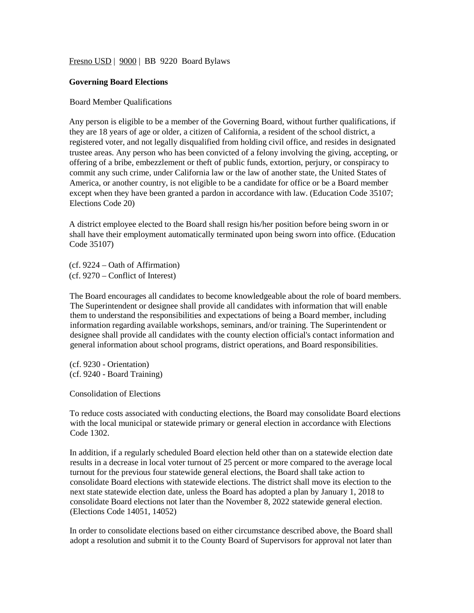Fresn<u>o USD</u> | 9000 | BB 9220 Board Bylaws

# **Governing Board Elections**

# Board Member Qualifications

Any person is eligible to be a member of the Governing Board, without further qualifications, if they are 18 years of age or older, a citizen of California, a resident of the school district, a registered voter, and not legally disqualified from holding civil office, and resides in designated trustee areas. Any person who has been convicted of a felony involving the giving, accepting, or offering of a bribe, embezzlement or theft of public funds, extortion, perjury, or conspiracy to commit any such crime, under California law or the law of another state, the United States of America, or another country, is not eligible to be a candidate for office or be a Board member except when they have been granted a pardon in accordance with law. (Education Code 35107; Elections Code 20)

A district employee elected to the Board shall resign his/her position before being sworn in or shall have their employment automatically terminated upon being sworn into office. (Education Code 35107)

(cf. 9224 – Oath of Affirmation) (cf. 9270 – Conflict of Interest)

The Board encourages all candidates to become knowledgeable about the role of board members. The Superintendent or designee shall provide all candidates with information that will enable them to understand the responsibilities and expectations of being a Board member, including information regarding available workshops, seminars, and/or training. The Superintendent or designee shall provide all candidates with the county election official's contact information and general information about school programs, district operations, and Board responsibilities.

(cf. 9230 - Orientation) (cf. 9240 - Board Training)

Consolidation of Elections

To reduce costs associated with conducting elections, the Board may consolidate Board elections with the local municipal or statewide primary or general election in accordance with Elections Code 1302.

In addition, if a regularly scheduled Board election held other than on a statewide election date results in a decrease in local voter turnout of 25 percent or more compared to the average local turnout for the previous four statewide general elections, the Board shall take action to consolidate Board elections with statewide elections. The district shall move its election to the next state statewide election date, unless the Board has adopted a plan by January 1, 2018 to consolidate Board elections not later than the November 8, 2022 statewide general election. (Elections Code 14051, 14052)

In order to consolidate elections based on either circumstance described above, the Board shall adopt a resolution and submit it to the County Board of Supervisors for approval not later than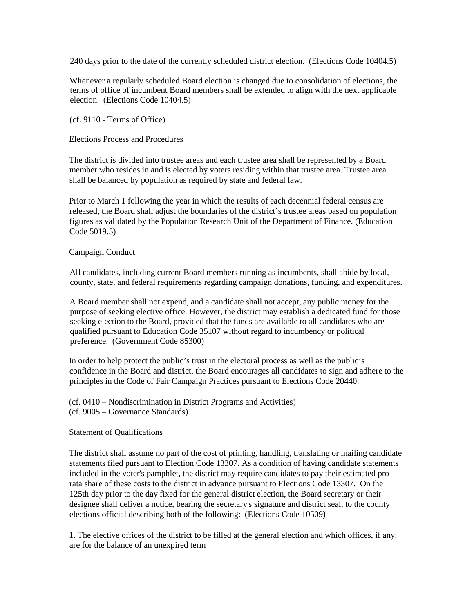240 days prior to the date of the currently scheduled district election. (Elections Code 10404.5)

Whenever a regularly scheduled Board election is changed due to consolidation of elections, the terms of office of incumbent Board members shall be extended to align with the next applicable election. (Elections Code 10404.5)

(cf. 9110 - Terms of Office)

Elections Process and Procedures

The district is divided into trustee areas and each trustee area shall be represented by a Board member who resides in and is elected by voters residing within that trustee area. Trustee area shall be balanced by population as required by state and federal law.

Prior to March 1 following the year in which the results of each decennial federal census are released, the Board shall adjust the boundaries of the district's trustee areas based on population figures as validated by the Population Research Unit of the Department of Finance. (Education Code 5019.5)

# Campaign Conduct

All candidates, including current Board members running as incumbents, shall abide by local, county, state, and federal requirements regarding campaign donations, funding, and expenditures.

A Board member shall not expend, and a candidate shall not accept, any public money for the purpose of seeking elective office. However, the district may establish a dedicated fund for those seeking election to the Board, provided that the funds are available to all candidates who are qualified pursuant to Education Code 35107 without regard to incumbency or political preference. (Government Code 85300)

In order to help protect the public's trust in the electoral process as well as the public's confidence in the Board and district, the Board encourages all candidates to sign and adhere to the principles in the Code of Fair Campaign Practices pursuant to Elections Code 20440.

(cf. 0410 – Nondiscrimination in District Programs and Activities) (cf. 9005 – Governance Standards)

# Statement of Qualifications

The district shall assume no part of the cost of printing, handling, translating or mailing candidate statements filed pursuant to Election Code 13307. As a condition of having candidate statements included in the voter's pamphlet, the district may require candidates to pay their estimated pro rata share of these costs to the district in advance pursuant to Elections Code 13307. On the 125th day prior to the day fixed for the general district election, the Board secretary or their designee shall deliver a notice, bearing the secretary's signature and district seal, to the county elections official describing both of the following: (Elections Code 10509)

1. The elective offices of the district to be filled at the general election and which offices, if any, are for the balance of an unexpired term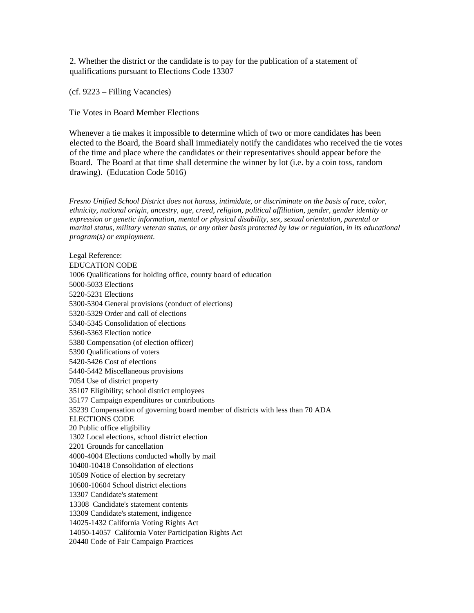2. Whether the district or the candidate is to pay for the publication of a statement of qualifications pursuant to Elections Code 13307

(cf. 9223 – Filling Vacancies)

Tie Votes in Board Member Elections

Whenever a tie makes it impossible to determine which of two or more candidates has been elected to the Board, the Board shall immediately notify the candidates who received the tie votes of the time and place where the candidates or their representatives should appear before the Board. The Board at that time shall determine the winner by lot (i.e. by a coin toss, random drawing). (Education Code 5016)

*Fresno Unified School District does not harass, intimidate, or discriminate on the basis of race, color, ethnicity, national origin, ancestry, age, creed, religion, political affiliation, gender, gender identity or expression or genetic information, mental or physical disability, sex, sexual orientation, parental or marital status, military veteran status, or any other basis protected by law or regulation, in its educational program(s) or employment.*

Legal Reference: EDUCATION CODE 1006 Qualifications for holding office, county board of education 5000-5033 Elections 5220-5231 Elections 5300-5304 General provisions (conduct of elections) 5320-5329 Order and call of elections 5340-5345 Consolidation of elections 5360-5363 Election notice 5380 Compensation (of election officer) 5390 Qualifications of voters 5420-5426 Cost of elections 5440-5442 Miscellaneous provisions 7054 Use of district property 35107 Eligibility; school district employees 35177 Campaign expenditures or contributions 35239 Compensation of governing board member of districts with less than 70 ADA ELECTIONS CODE 20 Public office eligibility 1302 Local elections, school district election 2201 Grounds for cancellation 4000-4004 Elections conducted wholly by mail 10400-10418 Consolidation of elections 10509 Notice of election by secretary 10600-10604 School district elections 13307 Candidate's statement 13308 Candidate's statement contents 13309 Candidate's statement, indigence 14025-1432 California Voting Rights Act 14050-14057 California Voter Participation Rights Act 20440 Code of Fair Campaign Practices